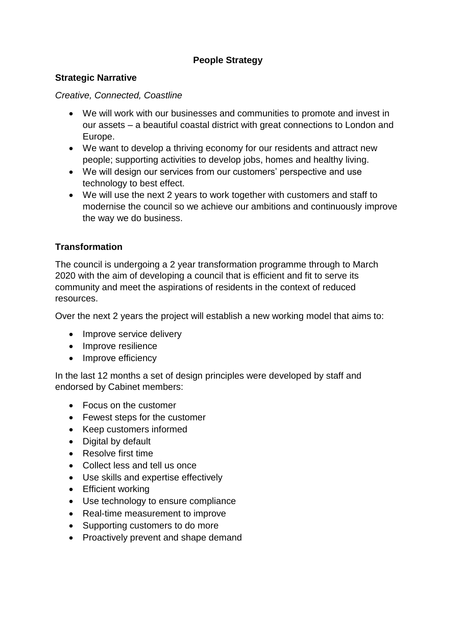# **People Strategy**

#### **Strategic Narrative**

*Creative, Connected, Coastline*

- We will work with our businesses and communities to promote and invest in our assets – a beautiful coastal district with great connections to London and Europe.
- We want to develop a thriving economy for our residents and attract new people; supporting activities to develop jobs, homes and healthy living.
- We will design our services from our customers' perspective and use technology to best effect.
- We will use the next 2 years to work together with customers and staff to modernise the council so we achieve our ambitions and continuously improve the way we do business.

## **Transformation**

The council is undergoing a 2 year transformation programme through to March 2020 with the aim of developing a council that is efficient and fit to serve its community and meet the aspirations of residents in the context of reduced resources.

Over the next 2 years the project will establish a new working model that aims to:

- Improve service delivery
- Improve resilience
- Improve efficiency

In the last 12 months a set of design principles were developed by staff and endorsed by Cabinet members:

- Focus on the customer
- Fewest steps for the customer
- Keep customers informed
- Digital by default
- Resolve first time
- Collect less and tell us once
- Use skills and expertise effectively
- Efficient working
- Use technology to ensure compliance
- Real-time measurement to improve
- Supporting customers to do more
- Proactively prevent and shape demand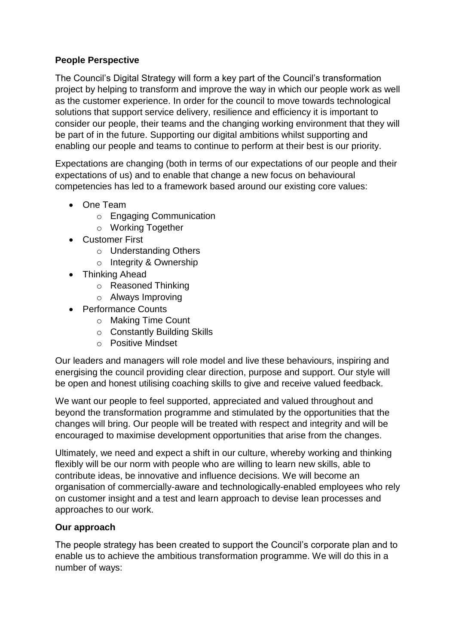## **People Perspective**

The Council's Digital Strategy will form a key part of the Council's transformation project by helping to transform and improve the way in which our people work as well as the customer experience. In order for the council to move towards technological solutions that support service delivery, resilience and efficiency it is important to consider our people, their teams and the changing working environment that they will be part of in the future. Supporting our digital ambitions whilst supporting and enabling our people and teams to continue to perform at their best is our priority.

Expectations are changing (both in terms of our expectations of our people and their expectations of us) and to enable that change a new focus on behavioural competencies has led to a framework based around our existing core values:

- One Team
	- o Engaging Communication
	- o Working Together
- Customer First
	- o Understanding Others
	- o Integrity & Ownership
- Thinking Ahead
	- o Reasoned Thinking
	- o Always Improving
- Performance Counts
	- o Making Time Count
	- o Constantly Building Skills
	- o Positive Mindset

Our leaders and managers will role model and live these behaviours, inspiring and energising the council providing clear direction, purpose and support. Our style will be open and honest utilising coaching skills to give and receive valued feedback.

We want our people to feel supported, appreciated and valued throughout and beyond the transformation programme and stimulated by the opportunities that the changes will bring. Our people will be treated with respect and integrity and will be encouraged to maximise development opportunities that arise from the changes.

Ultimately, we need and expect a shift in our culture, whereby working and thinking flexibly will be our norm with people who are willing to learn new skills, able to contribute ideas, be innovative and influence decisions. We will become an organisation of commercially-aware and technologically-enabled employees who rely on customer insight and a test and learn approach to devise lean processes and approaches to our work.

## **Our approach**

The people strategy has been created to support the Council's corporate plan and to enable us to achieve the ambitious transformation programme. We will do this in a number of ways: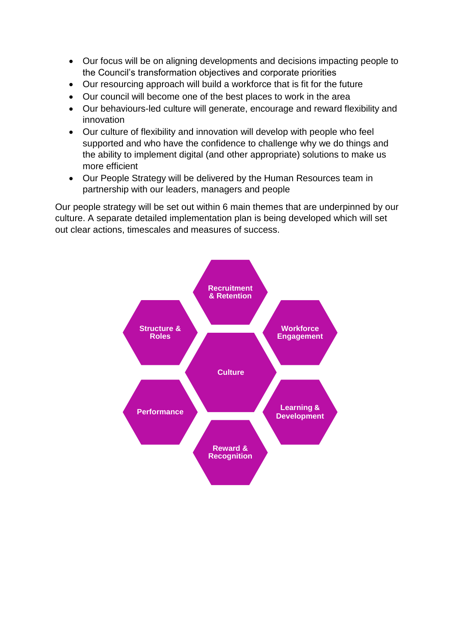- Our focus will be on aligning developments and decisions impacting people to the Council's transformation objectives and corporate priorities
- Our resourcing approach will build a workforce that is fit for the future
- Our council will become one of the best places to work in the area
- Our behaviours-led culture will generate, encourage and reward flexibility and innovation
- Our culture of flexibility and innovation will develop with people who feel supported and who have the confidence to challenge why we do things and the ability to implement digital (and other appropriate) solutions to make us more efficient
- Our People Strategy will be delivered by the Human Resources team in partnership with our leaders, managers and people

Our people strategy will be set out within 6 main themes that are underpinned by our culture. A separate detailed implementation plan is being developed which will set out clear actions, timescales and measures of success.

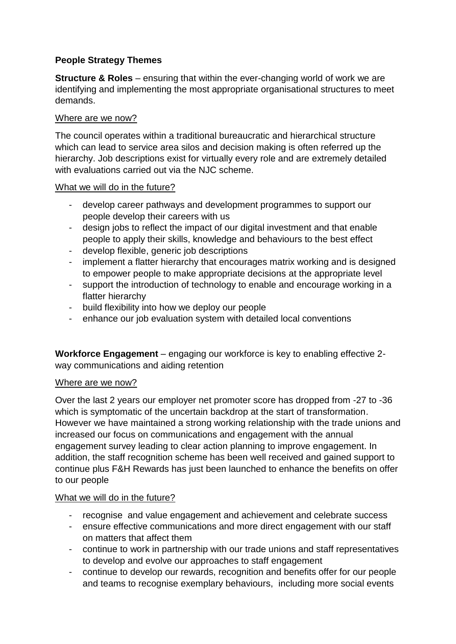# **People Strategy Themes**

**Structure & Roles** – ensuring that within the ever-changing world of work we are identifying and implementing the most appropriate organisational structures to meet demands.

#### Where are we now?

The council operates within a traditional bureaucratic and hierarchical structure which can lead to service area silos and decision making is often referred up the hierarchy. Job descriptions exist for virtually every role and are extremely detailed with evaluations carried out via the NJC scheme.

#### What we will do in the future?

- develop career pathways and development programmes to support our people develop their careers with us
- design jobs to reflect the impact of our digital investment and that enable people to apply their skills, knowledge and behaviours to the best effect
- develop flexible, generic job descriptions
- implement a flatter hierarchy that encourages matrix working and is designed to empower people to make appropriate decisions at the appropriate level
- support the introduction of technology to enable and encourage working in a flatter hierarchy
- build flexibility into how we deploy our people
- enhance our job evaluation system with detailed local conventions

**Workforce Engagement** – engaging our workforce is key to enabling effective 2 way communications and aiding retention

## Where are we now?

Over the last 2 years our employer net promoter score has dropped from -27 to -36 which is symptomatic of the uncertain backdrop at the start of transformation. However we have maintained a strong working relationship with the trade unions and increased our focus on communications and engagement with the annual engagement survey leading to clear action planning to improve engagement. In addition, the staff recognition scheme has been well received and gained support to continue plus F&H Rewards has just been launched to enhance the benefits on offer to our people

## What we will do in the future?

- recognise and value engagement and achievement and celebrate success
- ensure effective communications and more direct engagement with our staff on matters that affect them
- continue to work in partnership with our trade unions and staff representatives to develop and evolve our approaches to staff engagement
- continue to develop our rewards, recognition and benefits offer for our people and teams to recognise exemplary behaviours, including more social events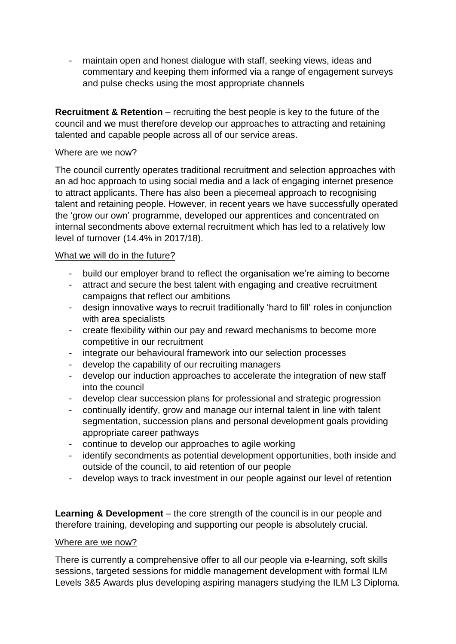- maintain open and honest dialogue with staff, seeking views, ideas and commentary and keeping them informed via a range of engagement surveys and pulse checks using the most appropriate channels

**Recruitment & Retention** – recruiting the best people is key to the future of the council and we must therefore develop our approaches to attracting and retaining talented and capable people across all of our service areas.

#### Where are we now?

The council currently operates traditional recruitment and selection approaches with an ad hoc approach to using social media and a lack of engaging internet presence to attract applicants. There has also been a piecemeal approach to recognising talent and retaining people. However, in recent years we have successfully operated the 'grow our own' programme, developed our apprentices and concentrated on internal secondments above external recruitment which has led to a relatively low level of turnover (14.4% in 2017/18).

#### What we will do in the future?

- build our employer brand to reflect the organisation we're aiming to become
- attract and secure the best talent with engaging and creative recruitment campaigns that reflect our ambitions
- design innovative ways to recruit traditionally 'hard to fill' roles in conjunction with area specialists
- create flexibility within our pay and reward mechanisms to become more competitive in our recruitment
- integrate our behavioural framework into our selection processes
- develop the capability of our recruiting managers
- develop our induction approaches to accelerate the integration of new staff into the council
- develop clear succession plans for professional and strategic progression
- continually identify, grow and manage our internal talent in line with talent segmentation, succession plans and personal development goals providing appropriate career pathways
- continue to develop our approaches to agile working
- identify secondments as potential development opportunities, both inside and outside of the council, to aid retention of our people
- develop ways to track investment in our people against our level of retention

**Learning & Development** – the core strength of the council is in our people and therefore training, developing and supporting our people is absolutely crucial.

#### Where are we now?

There is currently a comprehensive offer to all our people via e-learning, soft skills sessions, targeted sessions for middle management development with formal ILM Levels 3&5 Awards plus developing aspiring managers studying the ILM L3 Diploma.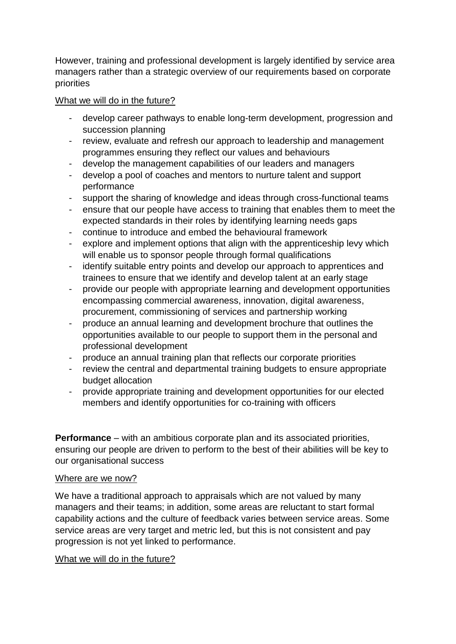However, training and professional development is largely identified by service area managers rather than a strategic overview of our requirements based on corporate priorities

## What we will do in the future?

- develop career pathways to enable long-term development, progression and succession planning
- review, evaluate and refresh our approach to leadership and management programmes ensuring they reflect our values and behaviours
- develop the management capabilities of our leaders and managers
- develop a pool of coaches and mentors to nurture talent and support performance
- support the sharing of knowledge and ideas through cross-functional teams
- ensure that our people have access to training that enables them to meet the expected standards in their roles by identifying learning needs gaps
- continue to introduce and embed the behavioural framework
- explore and implement options that align with the apprenticeship levy which will enable us to sponsor people through formal qualifications
- identify suitable entry points and develop our approach to apprentices and trainees to ensure that we identify and develop talent at an early stage
- provide our people with appropriate learning and development opportunities encompassing commercial awareness, innovation, digital awareness, procurement, commissioning of services and partnership working
- produce an annual learning and development brochure that outlines the opportunities available to our people to support them in the personal and professional development
- produce an annual training plan that reflects our corporate priorities
- review the central and departmental training budgets to ensure appropriate budget allocation
- provide appropriate training and development opportunities for our elected members and identify opportunities for co-training with officers

**Performance** – with an ambitious corporate plan and its associated priorities, ensuring our people are driven to perform to the best of their abilities will be key to our organisational success

## Where are we now?

We have a traditional approach to appraisals which are not valued by many managers and their teams; in addition, some areas are reluctant to start formal capability actions and the culture of feedback varies between service areas. Some service areas are very target and metric led, but this is not consistent and pay progression is not yet linked to performance.

## What we will do in the future?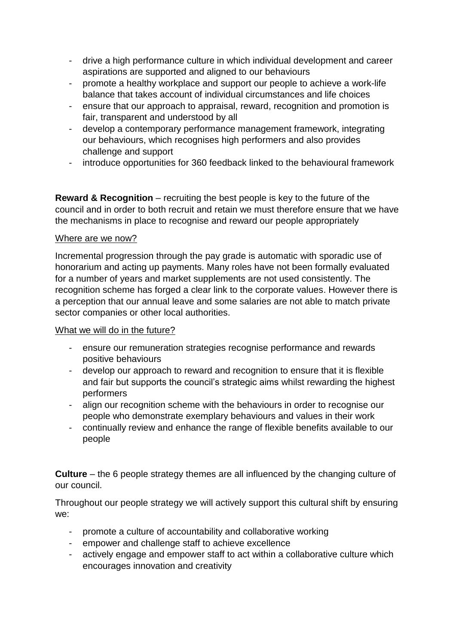- drive a high performance culture in which individual development and career aspirations are supported and aligned to our behaviours
- promote a healthy workplace and support our people to achieve a work-life balance that takes account of individual circumstances and life choices
- ensure that our approach to appraisal, reward, recognition and promotion is fair, transparent and understood by all
- develop a contemporary performance management framework, integrating our behaviours, which recognises high performers and also provides challenge and support
- introduce opportunities for 360 feedback linked to the behavioural framework

**Reward & Recognition** – recruiting the best people is key to the future of the council and in order to both recruit and retain we must therefore ensure that we have the mechanisms in place to recognise and reward our people appropriately

#### Where are we now?

Incremental progression through the pay grade is automatic with sporadic use of honorarium and acting up payments. Many roles have not been formally evaluated for a number of years and market supplements are not used consistently. The recognition scheme has forged a clear link to the corporate values. However there is a perception that our annual leave and some salaries are not able to match private sector companies or other local authorities.

#### What we will do in the future?

- ensure our remuneration strategies recognise performance and rewards positive behaviours
- develop our approach to reward and recognition to ensure that it is flexible and fair but supports the council's strategic aims whilst rewarding the highest performers
- align our recognition scheme with the behaviours in order to recognise our people who demonstrate exemplary behaviours and values in their work
- continually review and enhance the range of flexible benefits available to our people

**Culture** – the 6 people strategy themes are all influenced by the changing culture of our council.

Throughout our people strategy we will actively support this cultural shift by ensuring we:

- promote a culture of accountability and collaborative working
- empower and challenge staff to achieve excellence
- actively engage and empower staff to act within a collaborative culture which encourages innovation and creativity